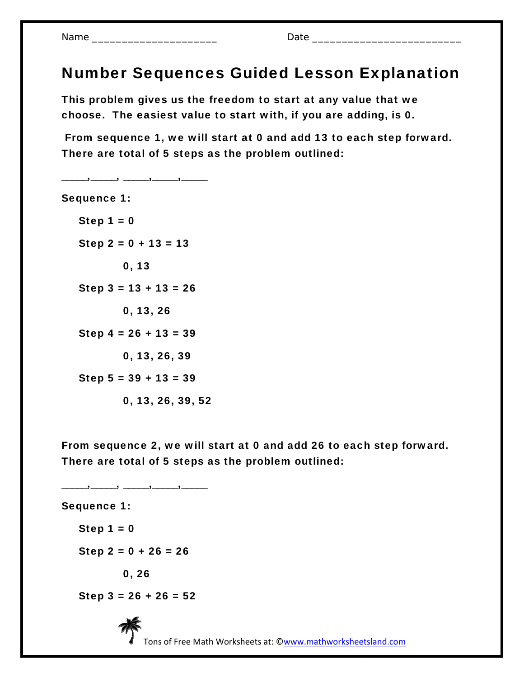## Number Sequences Guided Lesson Explanation

This problem gives us the freedom to start at any value that we choose. The easiest value to start with, if you are adding, is 0.

 From sequence 1, we will start at 0 and add 13 to each step forward. There are total of 5 steps as the problem outlined:

Sequence 1: Step  $1 = 0$ Step  $2 = 0 + 13 = 13$ 0, 13 Step  $3 = 13 + 13 = 26$ 0, 13, 26 Step  $4 = 26 + 13 = 39$ 0, 13, 26, 39 Step  $5 = 39 + 13 = 39$ 0, 13, 26, 39, 52

\_\_\_\_\_,\_\_\_\_\_, \_\_\_\_\_,\_\_\_\_\_,\_\_\_\_\_

From sequence 2, we will start at 0 and add 26 to each step forward. There are total of 5 steps as the problem outlined:

Sequence 1: Step  $1 = 0$ Step  $2 = 0 + 26 = 26$ 0, 26 Step  $3 = 26 + 26 = 52$ 

\_\_\_\_\_,\_\_\_\_\_, \_\_\_\_\_,\_\_\_\_\_,\_\_\_\_\_